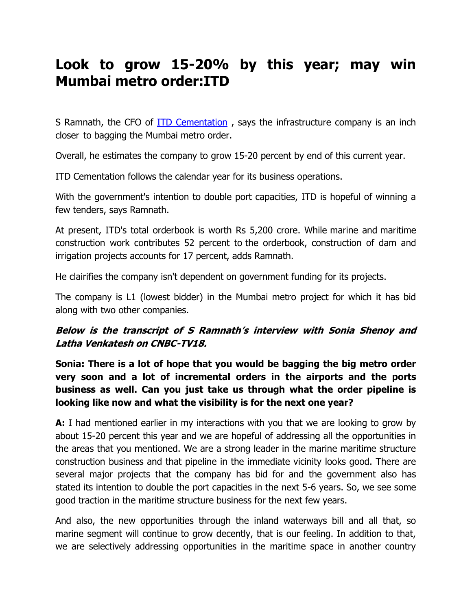# **Look to grow 15-20% by this year; may win Mumbai metro order:ITD**

S Ramnath, the CFO of **ITD Cementation**, says the infrastructure company is an inch closer to bagging the Mumbai metro order.

Overall, he estimates the company to grow 15-20 percent by end of this current year.

ITD Cementation follows the calendar year for its business operations.

With the government's intention to double port capacities, ITD is hopeful of winning a few tenders, says Ramnath.

At present, ITD's total orderbook is worth Rs 5,200 crore. While marine and maritime construction work contributes 52 percent to the orderbook, construction of dam and irrigation projects accounts for 17 percent, adds Ramnath.

He clairifies the company isn't dependent on government funding for its projects.

The company is L1 (lowest bidder) in the Mumbai metro project for which it has bid along with two other companies.

## **Below is the transcript of S Ramnath's interview with Sonia Shenoy and Latha Venkatesh on CNBC-TV18.**

**Sonia: There is a lot of hope that you would be bagging the big metro order very soon and a lot of incremental orders in the airports and the ports business as well. Can you just take us through what the order pipeline is looking like now and what the visibility is for the next one year?**

**A:** I had mentioned earlier in my interactions with you that we are looking to grow by about 15-20 percent this year and we are hopeful of addressing all the opportunities in the areas that you mentioned. We are a strong leader in the marine maritime structure construction business and that pipeline in the immediate vicinity looks good. There are several major projects that the company has bid for and the government also has stated its intention to double the port capacities in the next 5-6 years. So, we see some good traction in the maritime structure business for the next few years.

And also, the new opportunities through the inland waterways bill and all that, so marine segment will continue to grow decently, that is our feeling. In addition to that, we are selectively addressing opportunities in the maritime space in another country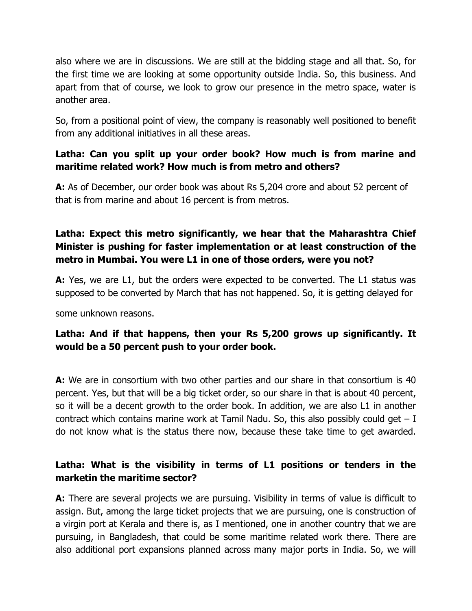also where we are in discussions. We are still at the bidding stage and all that. So, for the first time we are looking at some opportunity outside India. So, this business. And apart from that of course, we look to grow our presence in the metro space, water is another area.

So, from a positional point of view, the company is reasonably well positioned to benefit from any additional initiatives in all these areas.

#### **Latha: Can you split up your order book? How much is from marine and maritime related work? How much is from metro and others?**

**A:** As of December, our order book was about Rs 5,204 crore and about 52 percent of that is from marine and about 16 percent is from metros.

## **Latha: Expect this metro significantly, we hear that the Maharashtra Chief Minister is pushing for faster implementation or at least construction of the metro in Mumbai. You were L1 in one of those orders, were you not?**

**A:** Yes, we are L1, but the orders were expected to be converted. The L1 status was supposed to be converted by March that has not happened. So, it is getting delayed for

some unknown reasons.

## **Latha: And if that happens, then your Rs 5,200 grows up significantly. It would be a 50 percent push to your order book.**

**A:** We are in consortium with two other parties and our share in that consortium is 40 percent. Yes, but that will be a big ticket order, so our share in that is about 40 percent, so it will be a decent growth to the order book. In addition, we are also L1 in another contract which contains marine work at Tamil Nadu. So, this also possibly could get  $-1$ do not know what is the status there now, because these take time to get awarded.

## **Latha: What is the visibility in terms of L1 positions or tenders in the marketin the maritime sector?**

**A:** There are several projects we are pursuing. Visibility in terms of value is difficult to assign. But, among the large ticket projects that we are pursuing, one is construction of a virgin port at Kerala and there is, as I mentioned, one in another country that we are pursuing, in Bangladesh, that could be some maritime related work there. There are also additional port expansions planned across many major ports in India. So, we will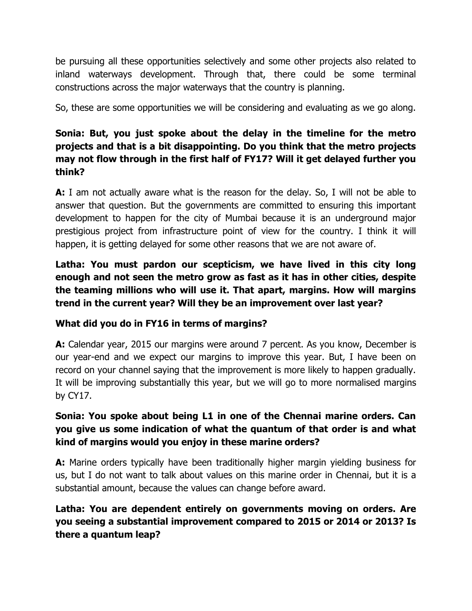be pursuing all these opportunities selectively and some other projects also related to inland waterways development. Through that, there could be some terminal constructions across the major waterways that the country is planning.

So, these are some opportunities we will be considering and evaluating as we go along.

## **Sonia: But, you just spoke about the delay in the timeline for the metro projects and that is a bit disappointing. Do you think that the metro projects may not flow through in the first half of FY17? Will it get delayed further you think?**

**A:** I am not actually aware what is the reason for the delay. So, I will not be able to answer that question. But the governments are committed to ensuring this important development to happen for the city of Mumbai because it is an underground major prestigious project from infrastructure point of view for the country. I think it will happen, it is getting delayed for some other reasons that we are not aware of.

**Latha: You must pardon our scepticism, we have lived in this city long enough and not seen the metro grow as fast as it has in other cities, despite the teaming millions who will use it. That apart, margins. How will margins trend in the current year? Will they be an improvement over last year?** 

#### **What did you do in FY16 in terms of margins?**

**A:** Calendar year, 2015 our margins were around 7 percent. As you know, December is our year-end and we expect our margins to improve this year. But, I have been on record on your channel saying that the improvement is more likely to happen gradually. It will be improving substantially this year, but we will go to more normalised margins by CY17.

## **Sonia: You spoke about being L1 in one of the Chennai marine orders. Can you give us some indication of what the quantum of that order is and what kind of margins would you enjoy in these marine orders?**

**A:** Marine orders typically have been traditionally higher margin yielding business for us, but I do not want to talk about values on this marine order in Chennai, but it is a substantial amount, because the values can change before award.

## **Latha: You are dependent entirely on governments moving on orders. Are you seeing a substantial improvement compared to 2015 or 2014 or 2013? Is there a quantum leap?**